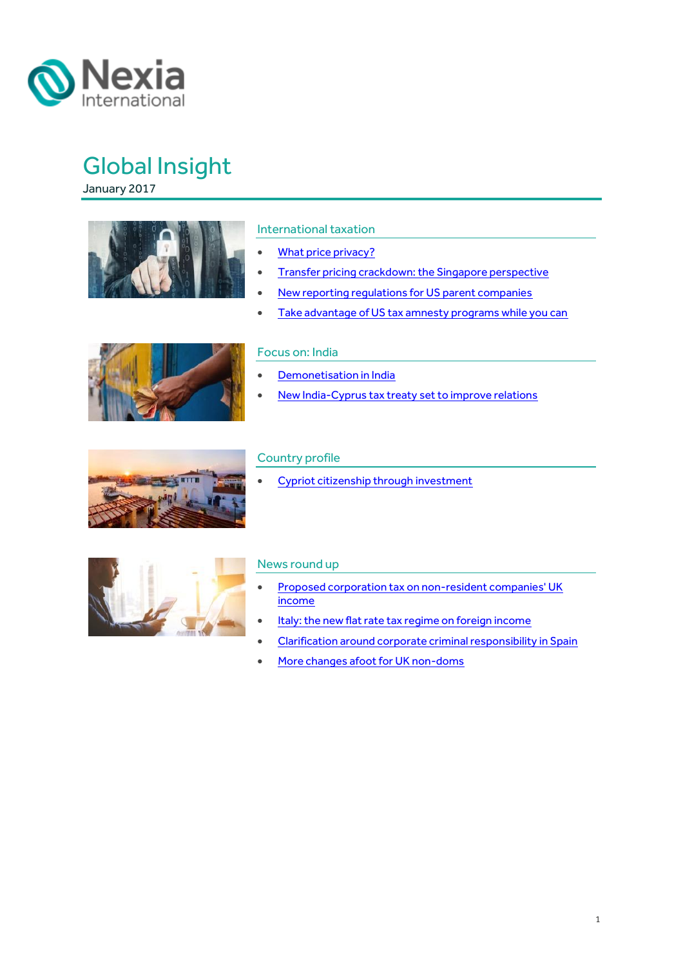

January 2017



#### International taxation

- [What price privacy?](#page-1-0)
- **•** [Transfer pricing crackdown: the Singapore perspective](#page-4-0)
- [New reporting regulations for US parent companies](#page-6-0)
- [Take advantage of US tax amnesty programs while you can](#page-8-0)



#### Focus on: India

- [Demonetisation in India](#page-10-0)
- [New India-Cyprus tax treaty set to improve relations](#page-12-0)



#### Country profile

• [Cypriot citizenship through investment](#page-14-0)



#### News round up

- **Proposed corporation tax on non-resident companies' UK** [income](#page-16-0)
- [Italy: the new flat rate tax regime on foreign income](#page-17-0)
- [Clarification around corporate criminal responsibility in Spain](#page-18-0)
- [More changes afoot for UK non-doms](#page-18-1)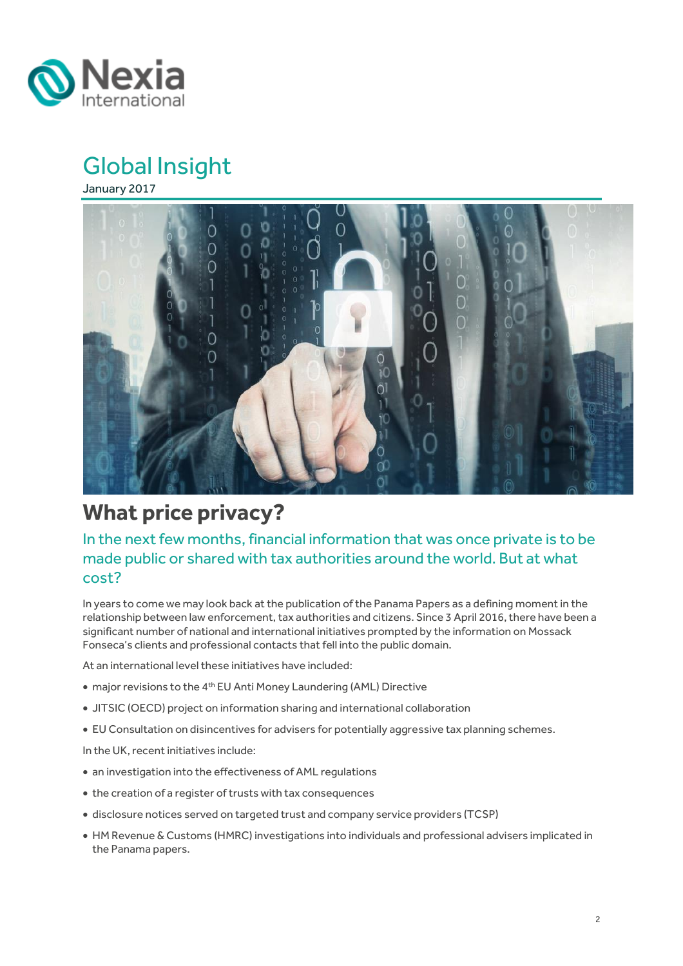

January 2017



## <span id="page-1-0"></span>**What price privacy?**

### In the next few months, financial information that was once private is to be made public or shared with tax authorities around the world. But at what cost?

In years to come we may look back at the publication of the Panama Papers as a defining moment in the relationship between law enforcement, tax authorities and citizens. Since 3 April 2016, there have been a significant number of national and international initiatives prompted by the information on Mossack Fonseca's clients and professional contacts that fell into the public domain.

At an international level these initiatives have included:

- major revisions to the 4th EU Anti Money Laundering (AML) Directive
- JITSIC (OECD) project on information sharing and international collaboration
- EU Consultation on disincentives for advisers for potentially aggressive tax planning schemes.

In the UK, recent initiatives include:

- an investigation into the effectiveness of AML regulations
- the creation of a register of trusts with tax consequences
- disclosure notices served on targeted trust and company service providers (TCSP)
- HM Revenue & Customs (HMRC) investigations into individuals and professional advisers implicated in the Panama papers.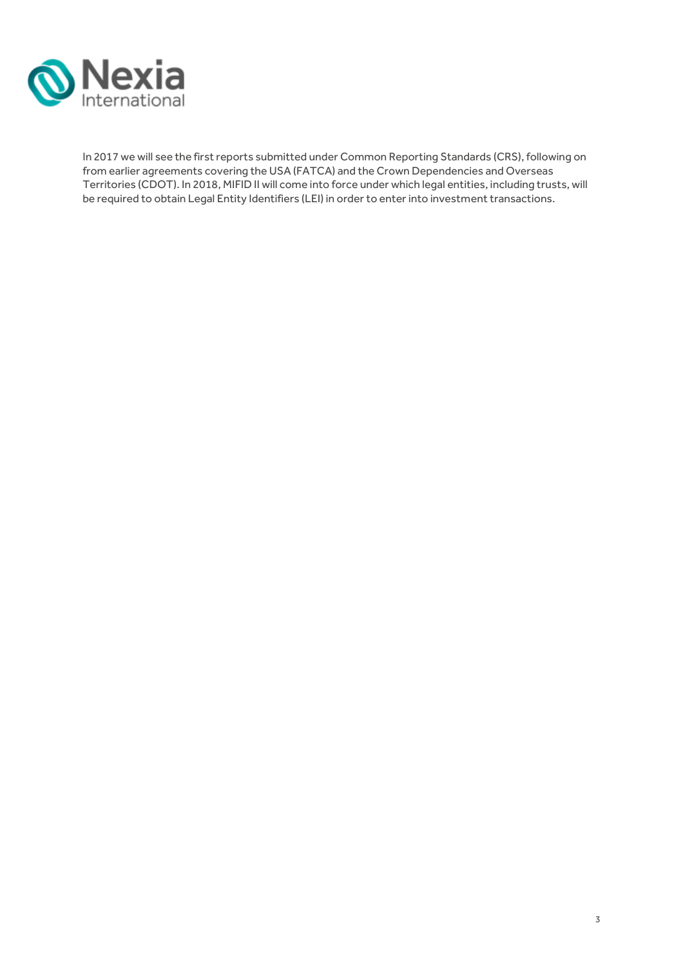

In 2017 we will see the first reports submitted under Common Reporting Standards (CRS), following on from earlier agreements covering the USA (FATCA) and the Crown Dependencies and Overseas Territories (CDOT). In 2018, MIFID II will come into force under which legal entities, including trusts, will be required to obtain Legal Entity Identifiers (LEI) in order to enter into investment transactions.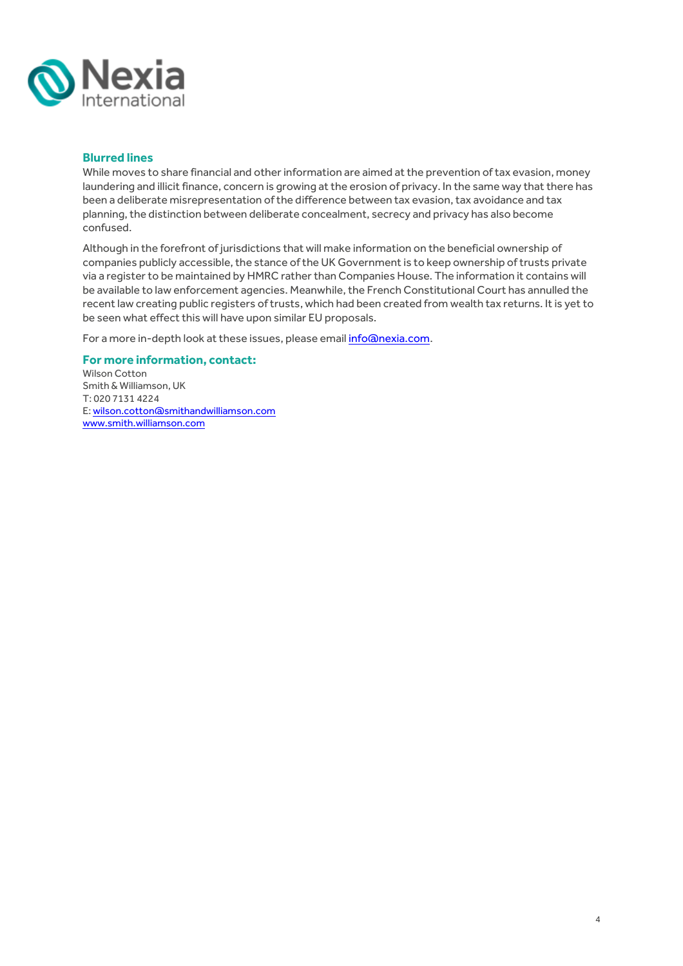

#### **Blurred lines**

While moves to share financial and other information are aimed at the prevention of tax evasion, money laundering and illicit finance, concern is growing at the erosion of privacy. In the same way that there has been a deliberate misrepresentation of the difference between tax evasion, tax avoidance and tax planning, the distinction between deliberate concealment, secrecy and privacy has also become confused.

Although in the forefront of jurisdictions that will make information on the beneficial ownership of companies publicly accessible, the stance of the UK Government is to keep ownership of trusts private via a register to be maintained by HMRC rather than Companies House. The information it contains will be available to law enforcement agencies. Meanwhile, the French Constitutional Court has annulled the recent law creating public registers of trusts, which had been created from wealth tax returns. It is yet to be seen what effect this will have upon similar EU proposals.

For a more in-depth look at these issues, please email [info@nexia.com.](mailto:info@nexia.com)

#### **For more information, contact:**

Wilson Cotton Smith & Williamson, UK T: 020 7131 4224 E: [wilson.cotton@smithandwilliamson.com](mailto:wilson.cotton@smithandwilliamson.com) [www.smith.williamson.com](http://www.smith.williamson.com/)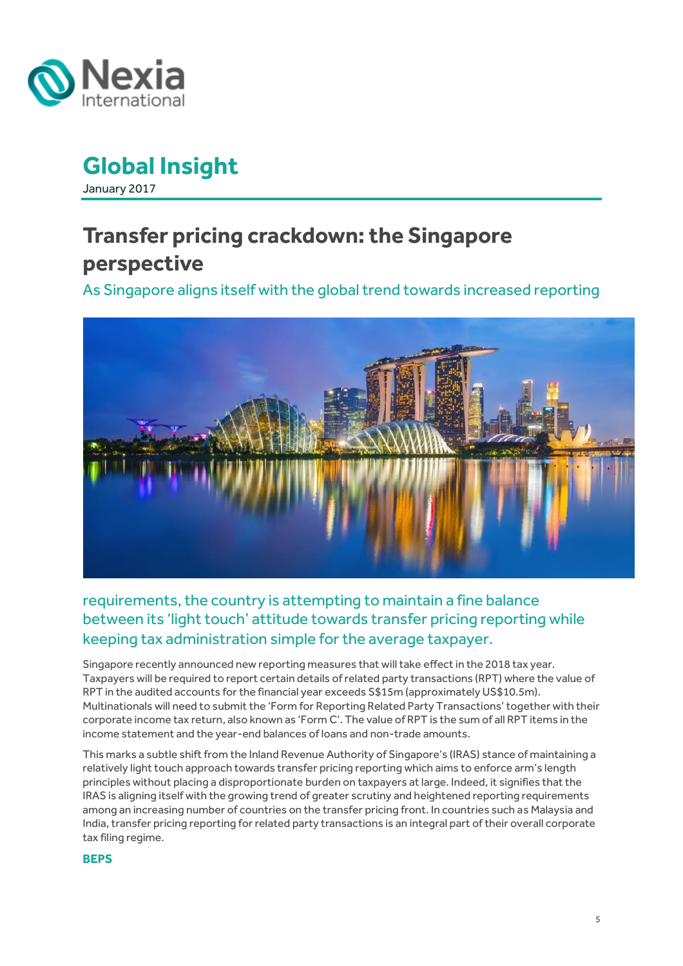

January 2017

# <span id="page-4-0"></span>**Transfer pricing crackdown: the Singapore perspective**

As Singapore aligns itself with the global trend towards increased reporting



## requirements, the country is attempting to maintain a fine balance between its 'light touch' attitude towards transfer pricing reporting while keeping tax administration simple for the average taxpayer.

Singapore recently announced new reporting measures that will take effect in the 2018 tax year. Taxpayers will be required to report certain details of related party transactions (RPT) where the value of RPT in the audited accounts for the financial year exceeds S\$15m (approximately US\$10.5m). Multinationals will need to submit the 'Form for Reporting Related Party Transactions' together with their corporate income tax return, also known as 'Form C'. The value of RPT is the sum of all RPT items in the income statement and the year-end balances of loans and non-trade amounts.

This marks a subtle shift from the Inland Revenue Authority of Singapore's (IRAS) stance of maintaining a relatively light touch approach towards transfer pricing reporting which aims to enforce arm's length principles without placing a disproportionate burden on taxpayers at large. Indeed, it signifies that the IRAS is aligning itself with the growing trend of greater scrutiny and heightened reporting requirements among an increasing number of countries on the transfer pricing front. In countries such as Malaysia and India, transfer pricing reporting for related party transactions is an integral part of their overall corporate tax filing regime.

#### **BEPS**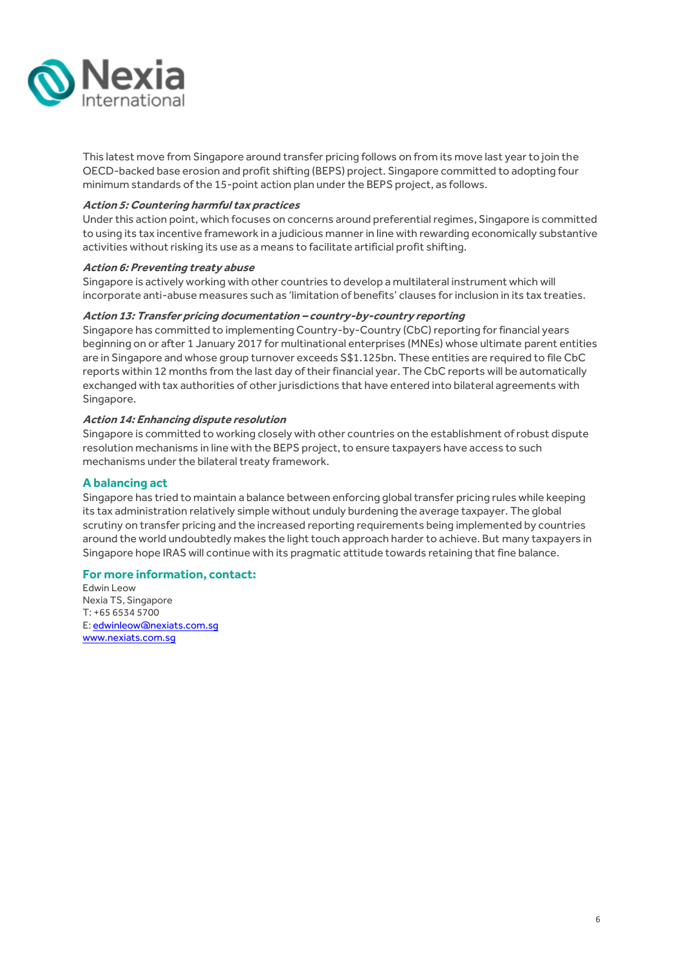

This latest move from Singapore around transfer pricing follows on from its move last year to join the OECD-backed base erosion and profit shifting (BEPS) project. Singapore committed to adopting four minimum standards of the 15-point action plan under the BEPS project, as follows.

#### **Action 5: Countering harmful tax practices**

Under this action point, which focuses on concerns around preferential regimes, Singapore is committed to using its tax incentive framework in a judicious manner in line with rewarding economically substantive activities without risking its use as a means to facilitate artificial profit shifting.

#### **Action 6: Preventing treaty abuse**

Singapore is actively working with other countries to develop a multilateral instrument which will incorporate anti-abuse measures such as 'limitation of benefits' clauses for inclusion in its tax treaties.

#### **Action 13: Transfer pricing documentation – country-by-country reporting**

Singapore has committed to implementing Country-by-Country (CbC) reporting for financial years beginning on or after 1 January 2017 for multinational enterprises (MNEs) whose ultimate parent entities are in Singapore and whose group turnover exceeds S\$1.125bn. These entities are required to file CbC reports within 12 months from the last day of their financial year. The CbC reports will be automatically exchanged with tax authorities of other jurisdictions that have entered into bilateral agreements with Singapore.

#### **Action 14: Enhancing dispute resolution**

Singapore is committed to working closely with other countries on the establishment of robust dispute resolution mechanisms in line with the BEPS project, to ensure taxpayers have access to such mechanisms under the bilateral treaty framework.

#### **A balancing act**

Singapore has tried to maintain a balance between enforcing global transfer pricing rules while keeping its tax administration relatively simple without unduly burdening the average taxpayer. The global scrutiny on transfer pricing and the increased reporting requirements being implemented by countries around the world undoubtedly makes the light touch approach harder to achieve. But many taxpayers in Singapore hope IRAS will continue with its pragmatic attitude towards retaining that fine balance.

#### **For more information, contact:**

Edwin Leow Nexia TS, Singapore T: +65 6534 5700 E[: edwinleow@nexiats.com.sg](mailto:edwinleow@nexiats.com.sg) [www.nexiats.com.sg](http://www.nexiats.com.sg/)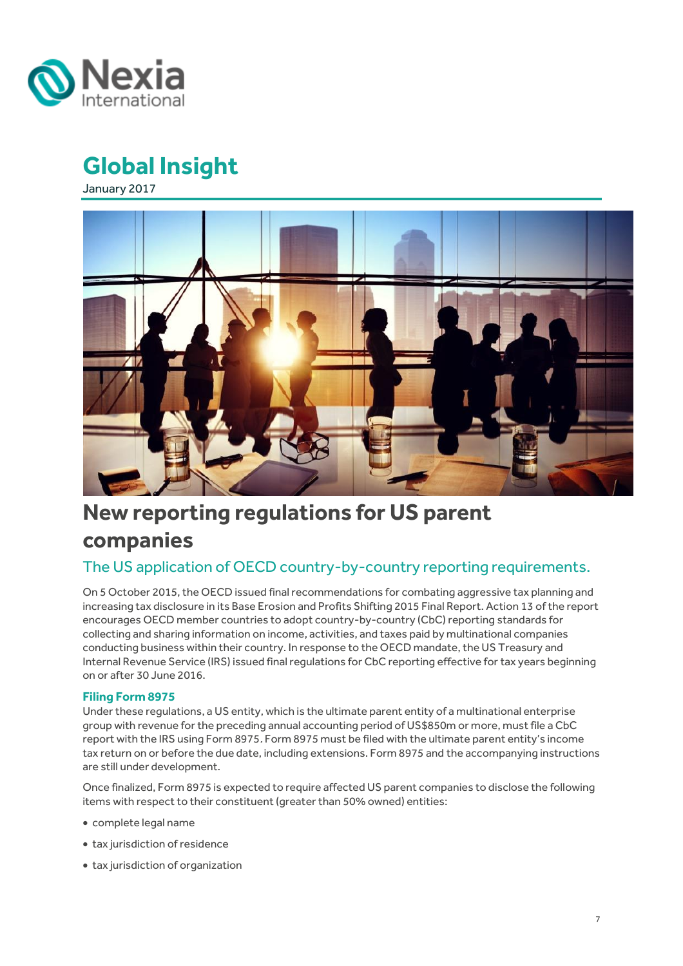<span id="page-6-0"></span>

January 2017



# **New reporting regulations for US parent companies**

## The US application of OECD country-by-country reporting requirements.

On 5 October 2015, the OECD issued final recommendations for combating aggressive tax planning and increasing tax disclosure in its Base Erosion and Profits Shifting 2015 Final Report. Action 13 of the report encourages OECD member countries to adopt country-by-country (CbC) reporting standards for collecting and sharing information on income, activities, and taxes paid by multinational companies conducting business within their country. In response to the OECD mandate, the US Treasury and Internal Revenue Service (IRS) issued final regulations for CbC reporting effective for tax years beginning on or after 30 June 2016.

#### **Filing Form 8975**

Under these regulations, a US entity, which is the ultimate parent entity of a multinational enterprise group with revenue for the preceding annual accounting period of US\$850m or more, must file a CbC report with the IRS using Form 8975. Form 8975 must be filed with the ultimate parent entity's income tax return on or before the due date, including extensions. Form 8975 and the accompanying instructions are still under development.

Once finalized, Form 8975 is expected to require affected US parent companies to disclose the following items with respect to their constituent (greater than 50% owned) entities:

- complete legal name
- tax jurisdiction of residence
- tax jurisdiction of organization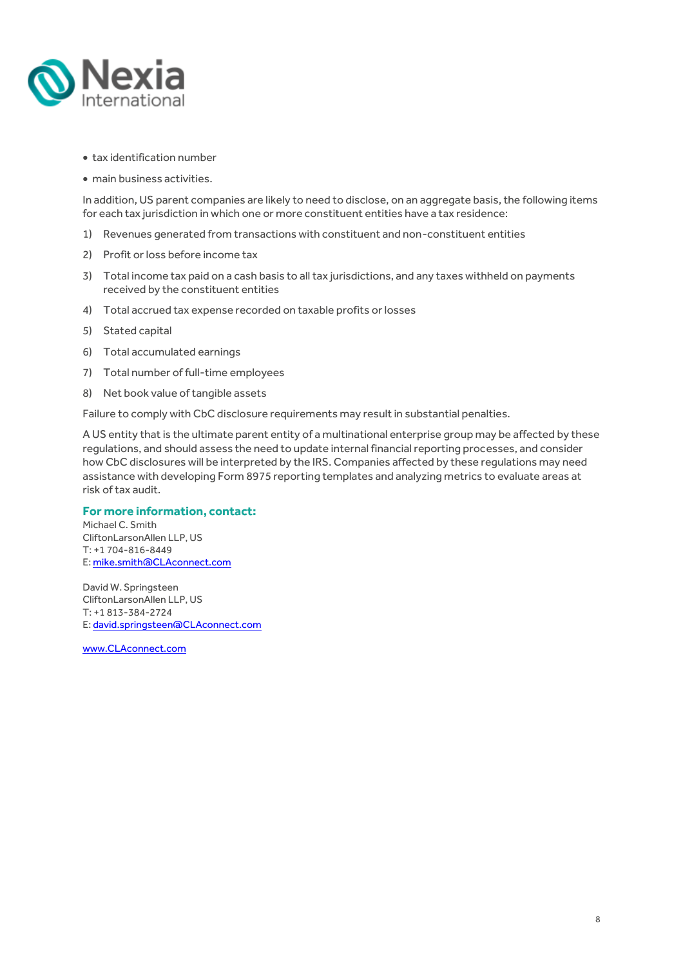

- tax identification number
- main business activities.

In addition, US parent companies are likely to need to disclose, on an aggregate basis, the following items for each tax jurisdiction in which one or more constituent entities have a tax residence:

- 1) Revenues generated from transactions with constituent and non-constituent entities
- 2) Profit or loss before income tax
- 3) Total income tax paid on a cash basis to all tax jurisdictions, and any taxes withheld on payments received by the constituent entities
- 4) Total accrued tax expense recorded on taxable profits or losses
- 5) Stated capital
- 6) Total accumulated earnings
- 7) Total number of full-time employees
- 8) Net book value of tangible assets

Failure to comply with CbC disclosure requirements may result in substantial penalties.

A US entity that is the ultimate parent entity of a multinational enterprise group may be affected by these regulations, and should assess the need to update internal financial reporting processes, and consider how CbC disclosures will be interpreted by the IRS. Companies affected by these regulations may need assistance with developing Form 8975 reporting templates and analyzing metrics to evaluate areas at risk of tax audit.

#### **For more information, contact:**

Michael C. Smith CliftonLarsonAllen LLP, US T: +1 704-816-8449 E[: mike.smith@CLAconnect.com](mailto:mike.smith@CLAconnect.com)

David W. Springsteen CliftonLarsonAllen LLP, US T: +1 813-384-2724 E[: david.springsteen@CLAconnect.com](mailto:david.springsteen@CLAconnect.com)

[www.CLAconnect.com](http://www.claconnect.com/)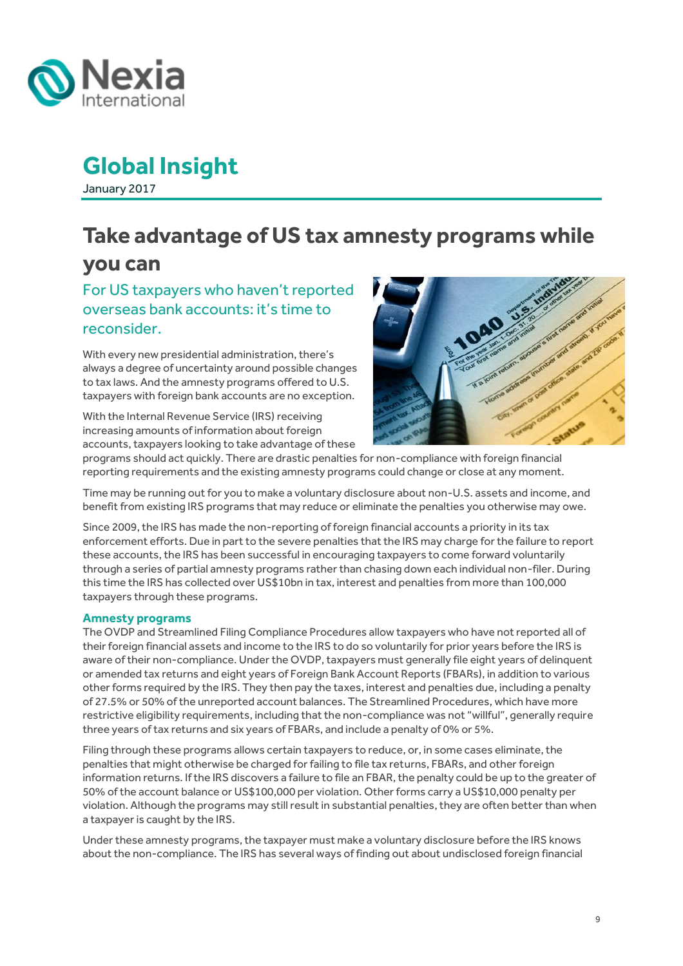

January 2017

## <span id="page-8-0"></span>**Take advantage of US tax amnesty programs while you can**

For US taxpayers who haven't reported overseas bank accounts: it's time to reconsider.

With every new presidential administration, there's always a degree of uncertainty around possible changes to tax laws. And the amnesty programs offered to U.S. taxpayers with foreign bank accounts are no exception.

With the Internal Revenue Service (IRS) receiving increasing amounts of information about foreign accounts, taxpayers looking to take advantage of these



programs should act quickly. There are drastic penalties for non-compliance with foreign financial reporting requirements and the existing amnesty programs could change or close at any moment.

Time may be running out for you to make a voluntary disclosure about non-U.S. assets and income, and benefit from existing IRS programs that may reduce or eliminate the penalties you otherwise may owe.

Since 2009, the IRS has made the non-reporting of foreign financial accounts a priority in its tax enforcement efforts. Due in part to the severe penalties that the IRS may charge for the failure to report these accounts, the IRS has been successful in encouraging taxpayers to come forward voluntarily through a series of partial amnesty programs rather than chasing down each individual non-filer. During this time the IRS has collected over US\$10bn in tax, interest and penalties from more than 100,000 taxpayers through these programs.

#### **Amnesty programs**

The OVDP and Streamlined Filing Compliance Procedures allow taxpayers who have not reported all of their foreign financial assets and income to the IRS to do so voluntarily for prior years before the IRS is aware of their non-compliance. Under the OVDP, taxpayers must generally file eight years of delinquent or amended tax returns and eight years of Foreign Bank Account Reports (FBARs), in addition to various other forms required by the IRS. They then pay the taxes, interest and penalties due, including a penalty of 27.5% or 50% of the unreported account balances. The Streamlined Procedures, which have more restrictive eligibility requirements, including that the non-compliance was not "willful", generally require three years of tax returns and six years of FBARs, and include a penalty of 0% or 5%.

Filing through these programs allows certain taxpayers to reduce, or, in some cases eliminate, the penalties that might otherwise be charged for failing to file tax returns, FBARs, and other foreign information returns. If the IRS discovers a failure to file an FBAR, the penalty could be up to the greater of 50% of the account balance or US\$100,000 per violation. Other forms carry a US\$10,000 penalty per violation. Although the programs may still result in substantial penalties, they are often better than when a taxpayer is caught by the IRS.

Under these amnesty programs, the taxpayer must make a voluntary disclosure before the IRS knows about the non-compliance. The IRS has several ways of finding out about undisclosed foreign financial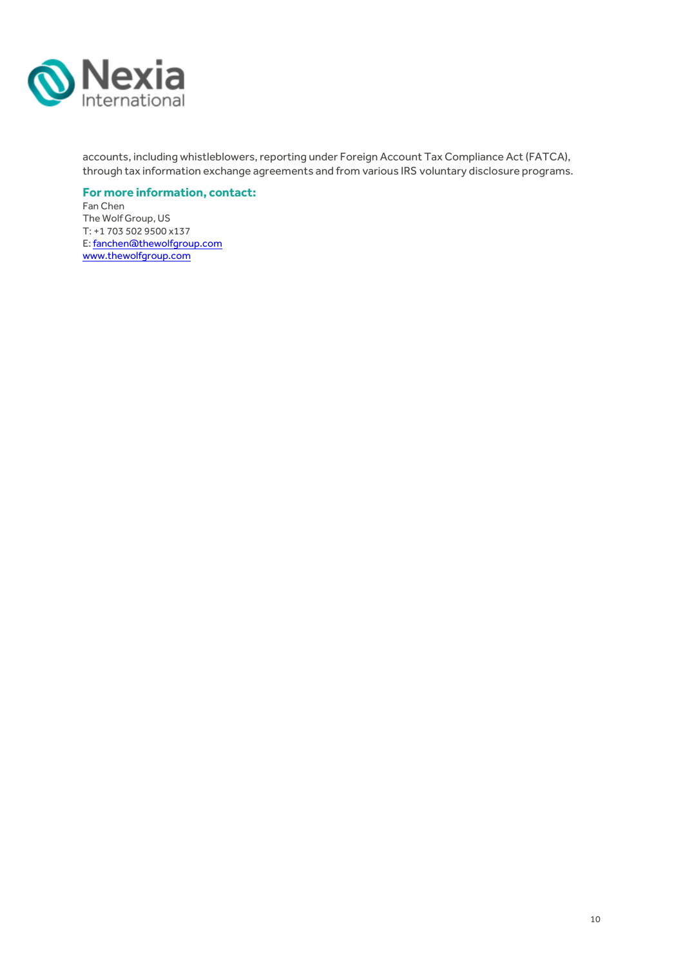

accounts, including whistleblowers, reporting under Foreign Account Tax Compliance Act (FATCA), through tax information exchange agreements and from various IRS voluntary disclosure programs.

#### **For more information, contact:**

Fan Chen The Wolf Group, US T: +1 703 502 9500 x137 E[: fanchen@thewolfgroup.com](mailto:fanchen@thewolfgroup.com) [www.thewolfgroup.com](http://www.thewolfgroup.com/)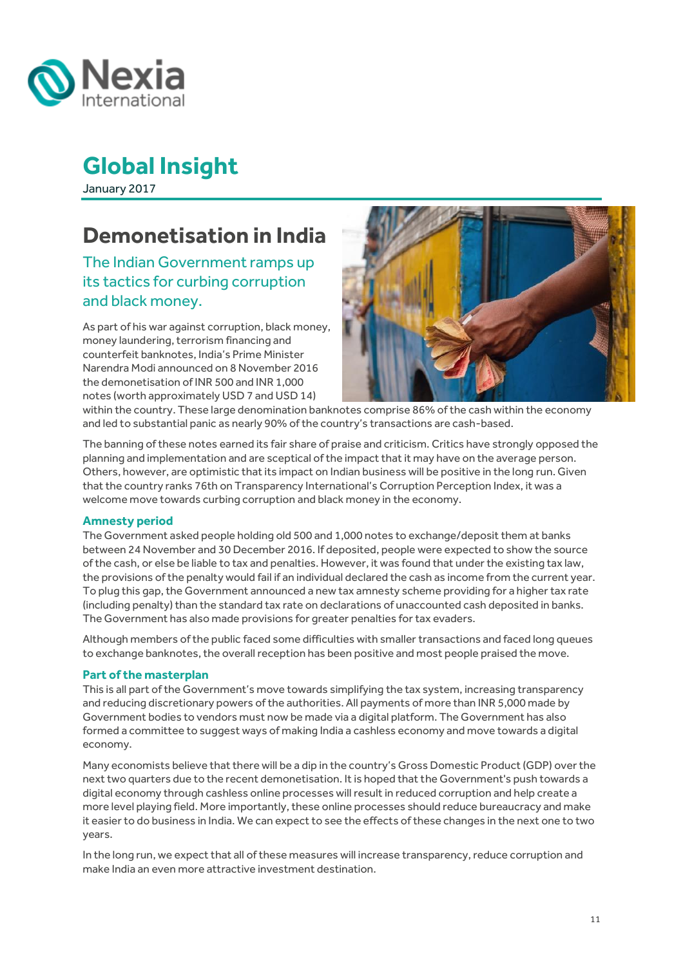

January 2017

# <span id="page-10-0"></span>**Demonetisation in India**

The Indian Government ramps up its tactics for curbing corruption and black money.

As part of his war against corruption, black money, money laundering, terrorism financing and counterfeit banknotes, India's Prime Minister Narendra Modi announced on 8 November 2016 the demonetisation of INR 500 and INR 1,000 notes (worth approximately USD 7 and USD 14)



within the country. These large denomination banknotes comprise 86% of the cash within the economy and led to substantial panic as nearly 90% of the country's transactions are cash-based.

The banning of these notes earned its fair share of praise and criticism. Critics have strongly opposed the planning and implementation and are sceptical of the impact that it may have on the average person. Others, however, are optimistic that its impact on Indian business will be positive in the long run. Given that the country ranks 76th on Transparency International's Corruption Perception Index, it was a welcome move towards curbing corruption and black money in the economy.

#### **Amnesty period**

The Government asked people holding old 500 and 1,000 notes to exchange/deposit them at banks between 24 November and 30 December 2016. If deposited, people were expected to show the source of the cash, or else be liable to tax and penalties. However, it was found that under the existing tax law, the provisions of the penalty would fail if an individual declared the cash as income from the current year. To plug this gap, the Government announced a new tax amnesty scheme providing for a higher tax rate (including penalty) than the standard tax rate on declarations of unaccounted cash deposited in banks. The Government has also made provisions for greater penalties for tax evaders.

Although members of the public faced some difficulties with smaller transactions and faced long queues to exchange banknotes, the overall reception has been positive and most people praised the move.

#### **Part of the masterplan**

This is all part of the Government's move towards simplifying the tax system, increasing transparency and reducing discretionary powers of the authorities. All payments of more than INR 5,000 made by Government bodies to vendors must now be made via a digital platform. The Government has also formed a committee to suggest ways of making India a cashless economy and move towards a digital economy.

Many economists believe that there will be a dip in the country's Gross Domestic Product (GDP) over the next two quarters due to the recent demonetisation. It is hoped that the Government's push towards a digital economy through cashless online processes will result in reduced corruption and help create a more level playing field. More importantly, these online processes should reduce bureaucracy and make it easier to do business in India. We can expect to see the effects of these changes in the next one to two years.

In the long run, we expect that all of these measures will increase transparency, reduce corruption and make India an even more attractive investment destination.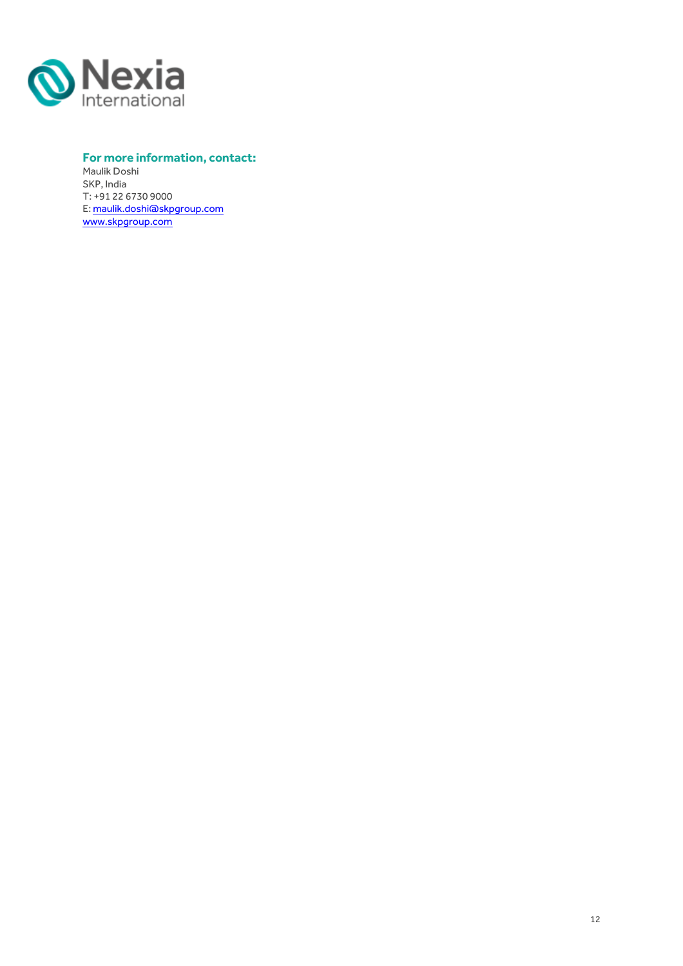

#### **For more information, contact:**

Maulik Doshi SKP, India T: +91 22 6730 9000 E[: maulik.doshi@skpgroup.com](http://[author%20name]@skpgroup.com) [www.skpgroup.com](http://www.skpgroup.com/)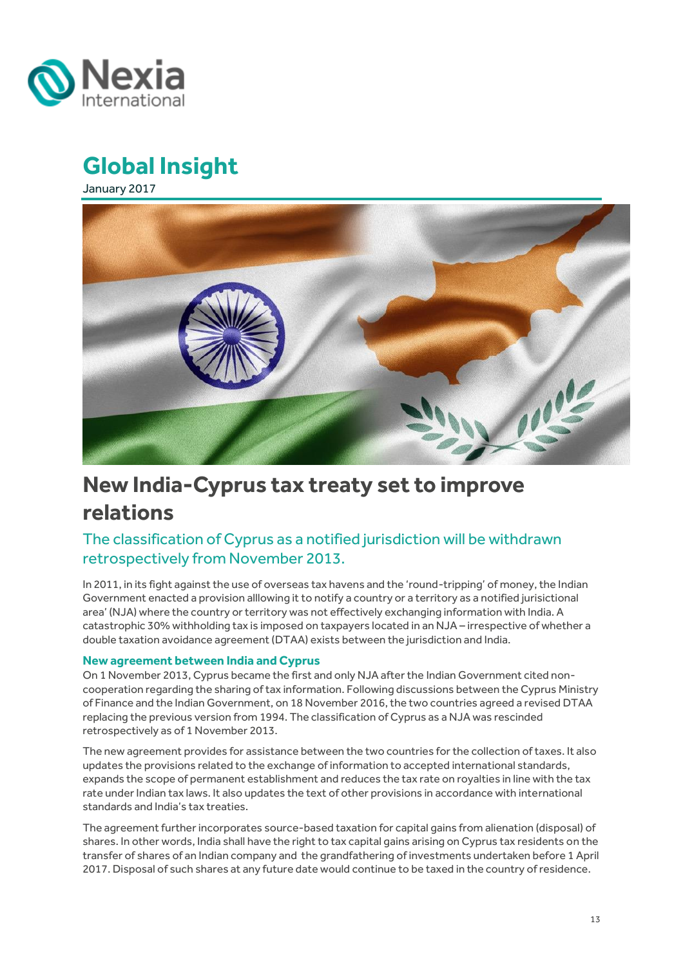<span id="page-12-0"></span>

January 2017



# **New India-Cyprus tax treaty set to improve relations**

### The classification of Cyprus as a notified jurisdiction will be withdrawn retrospectively from November 2013.

In 2011, in its fight against the use of overseas tax havens and the 'round-tripping' of money, the Indian Government enacted a provision alllowing it to notify a country or a territory as a notified jurisictional area' (NJA) where the country or territory was not effectively exchanging information with India. A catastrophic 30% withholding tax is imposed on taxpayers located in an NJA – irrespective of whether a double taxation avoidance agreement (DTAA) exists between the jurisdiction and India.

#### **New agreement between India and Cyprus**

On 1 November 2013, Cyprus became the first and only NJA after the Indian Government cited noncooperation regarding the sharing of tax information. Following discussions between the Cyprus Ministry of Finance and the Indian Government, on 18 November 2016, the two countries agreed a revised DTAA replacing the previous version from 1994. The classification of Cyprus as a NJA was rescinded retrospectively as of 1 November 2013.

The new agreement provides for assistance between the two countries for the collection of taxes. It also updates the provisions related to the exchange of information to accepted international standards, expands the scope of permanent establishment and reduces the tax rate on royalties in line with the tax rate under Indian tax laws. It also updates the text of other provisions in accordance with international standards and India's tax treaties.

The agreement further incorporates source-based taxation for capital gains from alienation (disposal) of shares. In other words, India shall have the right to tax capital gains arising on Cyprus tax residents on the transfer of shares of an Indian company and the grandfathering of investments undertaken before 1 April 2017. Disposal of such shares at any future date would continue to be taxed in the country of residence.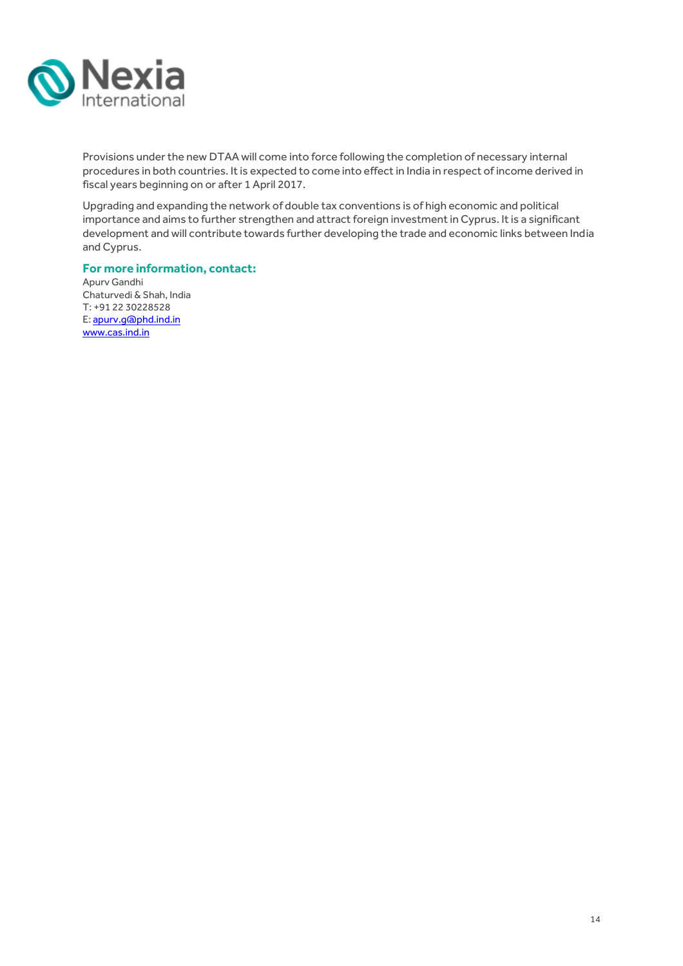

Provisions under the new DTAA will come into force following the completion of necessary internal procedures in both countries. It is expected to come into effect in India in respect of income derived in fiscal years beginning on or after 1 April 2017.

Upgrading and expanding the network of double tax conventions is of high economic and political importance and aims to further strengthen and attract foreign investment in Cyprus. It is a significant development and will contribute towards further developing the trade and economic links between India and Cyprus.

#### **For more information, contact:**

Apurv Gandhi Chaturvedi & Shah, India T: +91 22 30228528 E[: apurv.g@phd.ind.in](mailto:apurv.g@phd.ind.in) [www.cas.ind.in](http://www.cas.ind.in/)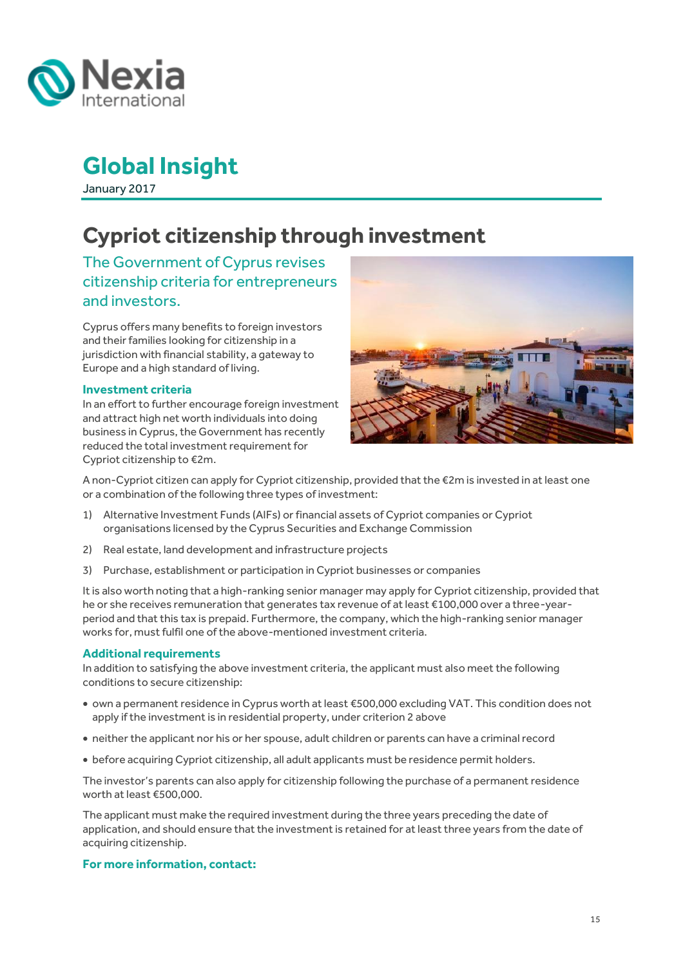

January 2017

# <span id="page-14-0"></span>**Cypriot citizenship through investment**

The Government of Cyprus revises citizenship criteria for entrepreneurs and investors.

Cyprus offers many benefits to foreign investors and their families looking for citizenship in a jurisdiction with financial stability, a gateway to Europe and a high standard of living.

#### **Investment criteria**

In an effort to further encourage foreign investment and attract high net worth individuals into doing business in Cyprus, the Government has recently reduced the total investment requirement for Cypriot citizenship to €2m.



A non-Cypriot citizen can apply for Cypriot citizenship, provided that the €2m is invested in at least one or a combination of the following three types of investment:

- 1) Alternative Investment Funds (AIFs) or financial assets of Cypriot companies or Cypriot organisations licensed by the Cyprus Securities and Exchange Commission
- 2) Real estate, land development and infrastructure projects
- 3) Purchase, establishment or participation in Cypriot businesses or companies

It is also worth noting that a high-ranking senior manager may apply for Cypriot citizenship, provided that he or she receives remuneration that generates tax revenue of at least €100,000 over a three-yearperiod and that this tax is prepaid. Furthermore, the company, which the high-ranking senior manager works for, must fulfil one of the above-mentioned investment criteria.

#### **Additional requirements**

In addition to satisfying the above investment criteria, the applicant must also meet the following conditions to secure citizenship:

- own a permanent residence in Cyprus worth at least €500,000 excluding VAT. This condition does not apply if the investment is in residential property, under criterion 2 above
- neither the applicant nor his or her spouse, adult children or parents can have a criminal record
- before acquiring Cypriot citizenship, all adult applicants must be residence permit holders.

The investor's parents can also apply for citizenship following the purchase of a permanent residence worth at least €500,000.

The applicant must make the required investment during the three years preceding the date of application, and should ensure that the investment is retained for at least three years from the date of acquiring citizenship.

#### **For more information, contact:**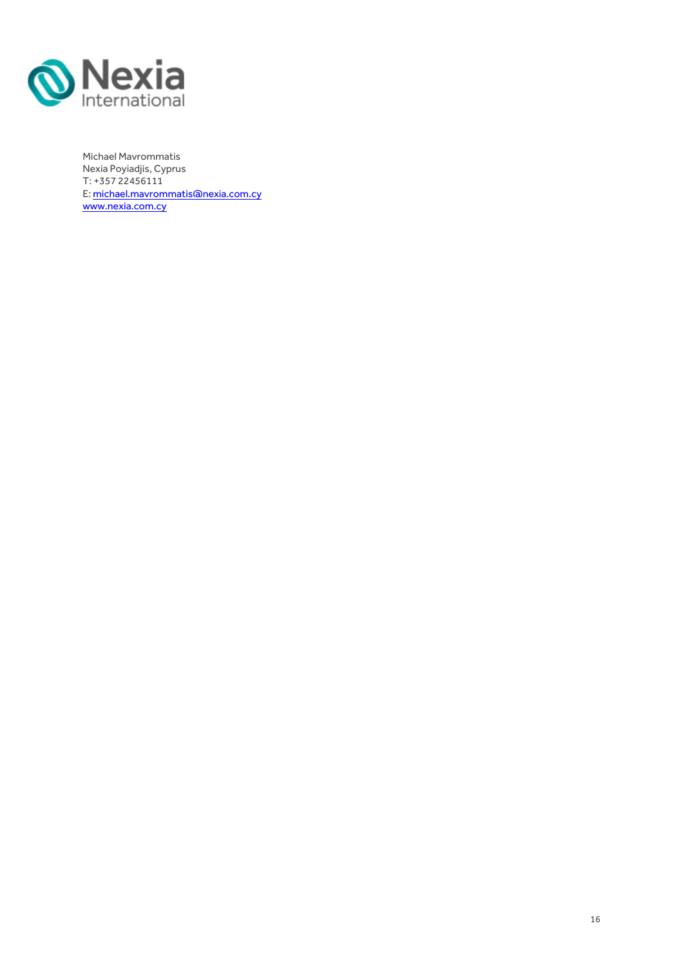

Michael Mavrommatis Nexia Poyiadjis, Cyprus T: +357 22456111 E[: michael.mavrommatis@nexia.com.cy](mailto:michael.mavrommatis@nexia.com.cy) [www.nexia.com.cy](http://www.nexia.com.cy/)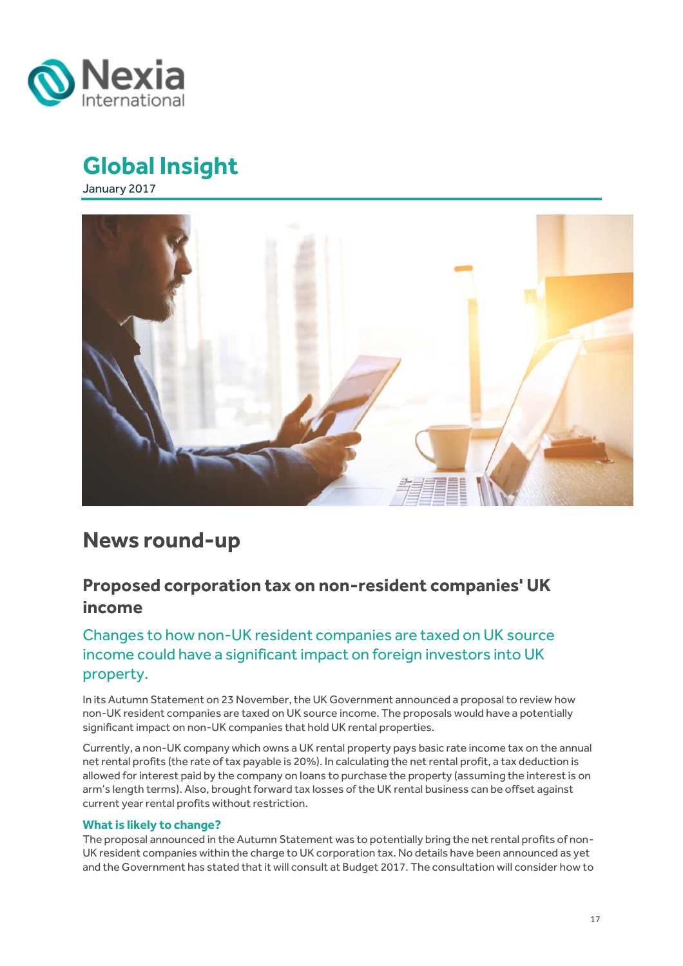

January 2017



## **News round-up**

## <span id="page-16-0"></span>**Proposed corporation tax on non-resident companies' UK income**

### Changes to how non-UK resident companies are taxed on UK source income could have a significant impact on foreign investors into UK property.

In its Autumn Statement on 23 November, the UK Government announced a proposal to review how non-UK resident companies are taxed on UK source income. The proposals would have a potentially significant impact on non-UK companies that hold UK rental properties.

Currently, a non-UK company which owns a UK rental property pays basic rate income tax on the annual net rental profits (the rate of tax payable is 20%). In calculating the net rental profit, a tax deduction is allowed for interest paid by the company on loans to purchase the property (assuming the interest is on arm's length terms). Also, brought forward tax losses of the UK rental business can be offset against current year rental profits without restriction.

#### **What is likely to change?**

The proposal announced in the Autumn Statement was to potentially bring the net rental profits of non-UK resident companies within the charge to UK corporation tax. No details have been announced as yet and the Government has stated that it will consult at Budget 2017. The consultation will consider how to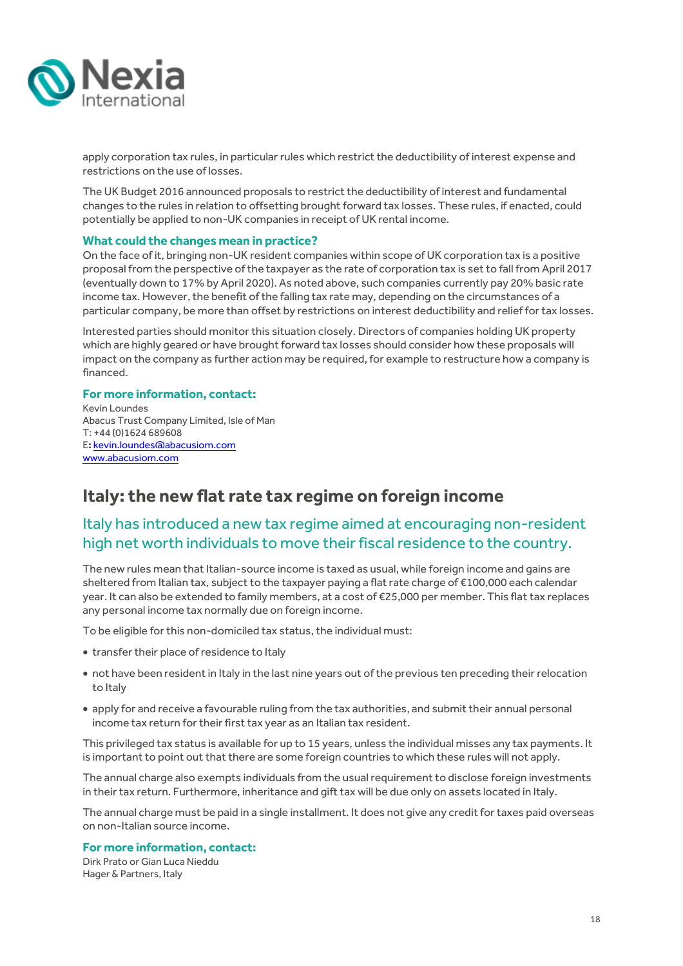

apply corporation tax rules, in particular rules which restrict the deductibility of interest expense and restrictions on the use of losses.

The UK Budget 2016 announced proposals to restrict the deductibility of interest and fundamental changes to the rules in relation to offsetting brought forward tax losses. These rules, if enacted, could potentially be applied to non-UK companies in receipt of UK rental income.

#### **What could the changes mean in practice?**

On the face of it, bringing non-UK resident companies within scope of UK corporation tax is a positive proposal from the perspective of the taxpayer as the rate of corporation tax is set to fall from April 2017 (eventually down to 17% by April 2020). As noted above, such companies currently pay 20% basic rate income tax. However, the benefit of the falling tax rate may, depending on the circumstances of a particular company, be more than offset by restrictions on interest deductibility and relief for tax losses.

Interested parties should monitor this situation closely. Directors of companies holding UK property which are highly geared or have brought forward tax losses should consider how these proposals will impact on the company as further action may be required, for example to restructure how a company is financed.

#### **For more information, contact:**

Kevin Loundes Abacus Trust Company Limited, Isle of Man T: +44 (0)1624 689608 E**:** [kevin.loundes@abacusiom.com](mailto:kevin.loundes@abacusiom.com) [www.abacusiom.com](http://www.abacusiom.com/)

## <span id="page-17-0"></span>**Italy: the new flat rate tax regime on foreign income**

### Italy has introduced a new tax regime aimed at encouraging non-resident high net worth individuals to move their fiscal residence to the country.

The new rules mean that Italian-source income is taxed as usual, while foreign income and gains are sheltered from Italian tax, subject to the taxpayer paying a flat rate charge of €100,000 each calendar year. It can also be extended to family members, at a cost of €25,000 per member. This flat tax replaces any personal income tax normally due on foreign income.

To be eligible for this non-domiciled tax status, the individual must:

- transfer their place of residence to Italy
- not have been resident in Italy in the last nine years out of the previous ten preceding their relocation to Italy
- apply for and receive a favourable ruling from the tax authorities, and submit their annual personal income tax return for their first tax year as an Italian tax resident.

This privileged tax status is available for up to 15 years, unless the individual misses any tax payments. It is important to point out that there are some foreign countries to which these rules will not apply.

The annual charge also exempts individuals from the usual requirement to disclose foreign investments in their tax return. Furthermore, inheritance and gift tax will be due only on assets located in Italy.

The annual charge must be paid in a single installment. It does not give any credit for taxes paid overseas on non-Italian source income.

#### **For more information, contact:**

Dirk Prato or Gian Luca Nieddu Hager & Partners, Italy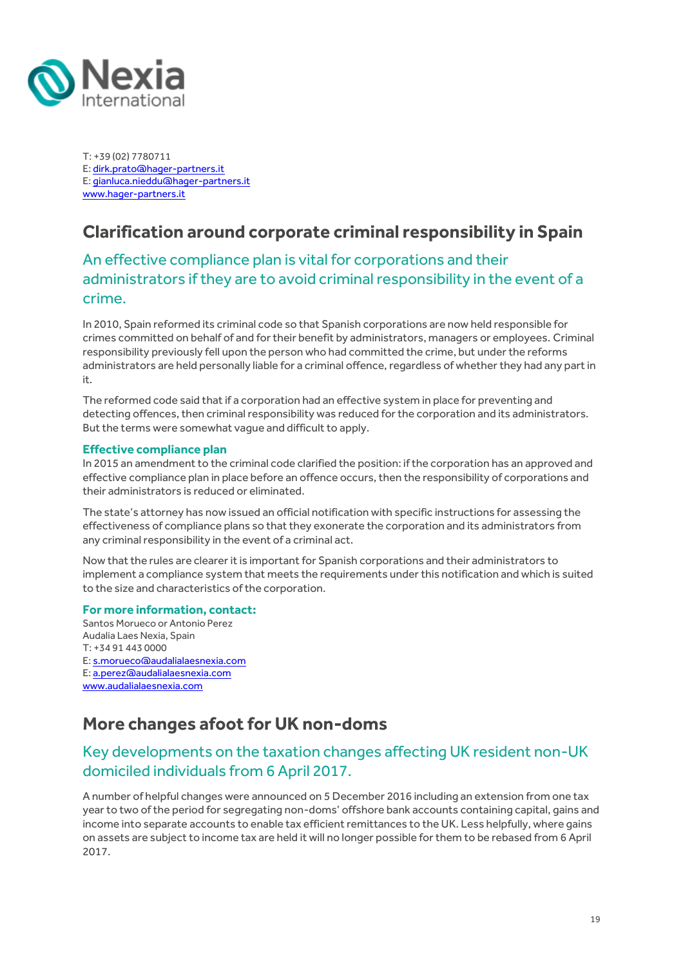

T: +39 (02) 7780711 E[: dirk.prato@hager-partners.it](mailto:dirk.prato@hager-partners.it) E[: gianluca.nieddu@hager-partners.it](mailto:gianluca.nieddu@hager-partners.it) [www.hager-partners.it](http://www.hager-partners.it/)

## <span id="page-18-0"></span>**Clarification around corporate criminal responsibility in Spain**

### An effective compliance plan is vital for corporations and their administrators if they are to avoid criminal responsibility in the event of a crime.

In 2010, Spain reformed its criminal code so that Spanish corporations are now held responsible for crimes committed on behalf of and for their benefit by administrators, managers or employees. Criminal responsibility previously fell upon the person who had committed the crime, but under the reforms administrators are held personally liable for a criminal offence, regardless of whether they had any part in it.

The reformed code said that if a corporation had an effective system in place for preventing and detecting offences, then criminal responsibility was reduced for the corporation and its administrators. But the terms were somewhat vague and difficult to apply.

#### **Effective compliance plan**

In 2015 an amendment to the criminal code clarified the position: if the corporation has an approved and effective compliance plan in place before an offence occurs, then the responsibility of corporations and their administrators is reduced or eliminated.

The state's attorney has now issued an official notification with specific instructions for assessing the effectiveness of compliance plans so that they exonerate the corporation and its administrators from any criminal responsibility in the event of a criminal act.

Now that the rules are clearer it is important for Spanish corporations and their administrators to implement a compliance system that meets the requirements under this notification and which is suited to the size and characteristics of the corporation.

#### **For more information, contact:**

Santos Morueco or Antonio Perez Audalia Laes Nexia, Spain T: +34 91 443 0000 E[: s.morueco@audalialaesnexia.com](mailto:s.morueco@audalialaesnexia.com) E[: a.perez@audalialaesnexia.com](mailto:a.perez@audalialaesnexia.com) [www.audalialaesnexia.com](http://www.audalialaesnexia.com/)

## <span id="page-18-1"></span>**More changes afoot for UK non-doms**

### Key developments on the taxation changes affecting UK resident non-UK domiciled individuals from 6 April 2017.

A number of helpful changes were announced on 5 December 2016 including an extension from one tax year to two of the period for segregating non-doms' offshore bank accounts containing capital, gains and income into separate accounts to enable tax efficient remittances to the UK. Less helpfully, where gains on assets are subject to income tax are held it will no longer possible for them to be rebased from 6 April 2017.